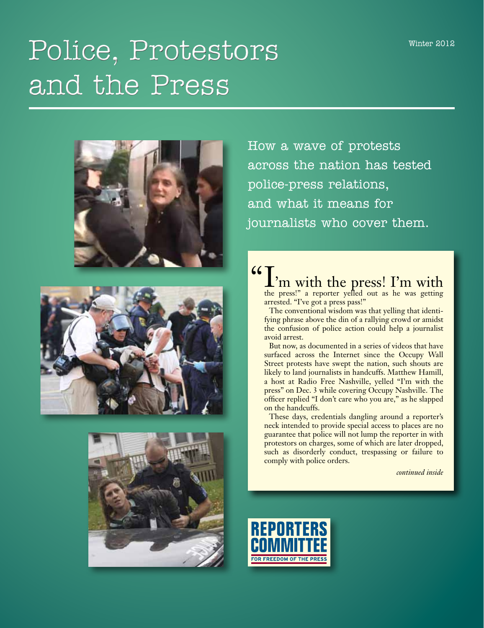# Police, Protestors and the Press







How a wave of protests across the nation has tested police-press relations, and what it means for journalists who cover them.

# $\mathcal{L}_{\text{the press!}}$  m with the press! I'm with the press! I'm with

arrested. "I've got a press pass!"

The conventional wisdom was that yelling that identifying phrase above the din of a rallying crowd or amidst the confusion of police action could help a journalist avoid arrest.

But now, as documented in a series of videos that have surfaced across the Internet since the Occupy Wall Street protests have swept the nation, such shouts are likely to land journalists in handcuffs. Matthew Hamill, a host at Radio Free Nashville, yelled "I'm with the press" on Dec. 3 while covering Occupy Nashville. The officer replied "I don't care who you are," as he slapped on the handcuffs.

These days, credentials dangling around a reporter's neck intended to provide special access to places are no guarantee that police will not lump the reporter in with protestors on charges, some of which are later dropped, such as disorderly conduct, trespassing or failure to comply with police orders.

*continued inside*

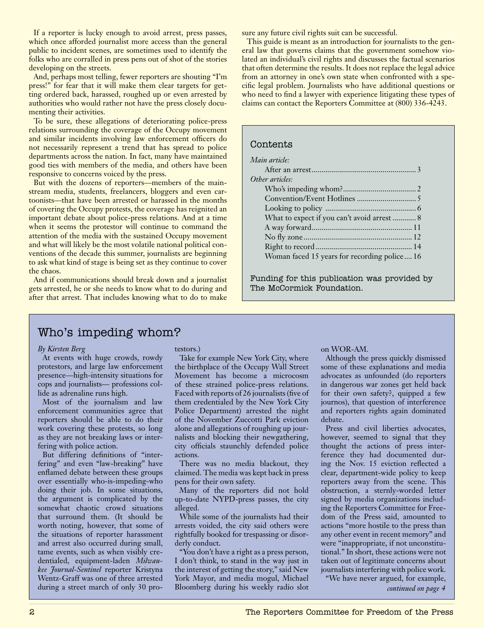If a reporter is lucky enough to avoid arrest, press passes, which once afforded journalist more access than the general public to incident scenes, are sometimes used to identify the folks who are corralled in press pens out of shot of the stories developing on the streets.

And, perhaps most telling, fewer reporters are shouting "I'm press!" for fear that it will make them clear targets for getting ordered back, harassed, roughed up or even arrested by authorities who would rather not have the press closely documenting their activities.

To be sure, these allegations of deteriorating police-press relations surrounding the coverage of the Occupy movement and similar incidents involving law enforcement officers do not necessarily represent a trend that has spread to police departments across the nation. In fact, many have maintained good ties with members of the media, and others have been responsive to concerns voiced by the press.

But with the dozens of reporters—members of the mainstream media, students, freelancers, bloggers and even cartoonists—that have been arrested or harassed in the months of covering the Occupy protests, the coverage has reignited an important debate about police-press relations. And at a time when it seems the protestor will continue to command the attention of the media with the sustained Occupy movement and what will likely be the most volatile national political conventions of the decade this summer, journalists are beginning to ask what kind of stage is being set as they continue to cover the chaos.

And if communications should break down and a journalist gets arrested, he or she needs to know what to do during and after that arrest. That includes knowing what to do to make

sure any future civil rights suit can be successful.

This guide is meant as an introduction for journalists to the general law that governs claims that the government somehow violated an individual's civil rights and discusses the factual scenarios that often determine the results. It does not replace the legal advice from an attorney in one's own state when confronted with a specific legal problem. Journalists who have additional questions or who need to find a lawyer with experience litigating these types of claims can contact the Reporters Committee at (800) 336-4243.

## Contents *Main article:* After an arrest..................................................... 3 *Other articles:* Who's impeding whom?..................................... 2 Convention/Event Hotlines .............................. 5 Looking to policy .............................................. 6 What to expect if you can't avoid arrest ............ 8 A way forward................................................... 11 No fly zone ....................................................... 12 Right to record................................................. 14 Woman faced 15 years for recording police.... 16

Funding for this publication was provided by The McCormick Foundation.

## Who's impeding whom?

#### *By Kirsten Berg*

At events with huge crowds, rowdy protestors, and large law enforcement presence—high-intensity situations for cops and journalists— professions collide as adrenaline runs high.

Most of the journalism and law enforcement communities agree that reporters should be able to do their work covering these protests, so long as they are not breaking laws or interfering with police action.

But differing definitions of "interfering" and even "law-breaking" have enflamed debate between these groups over essentially who-is-impeding-who doing their job. In some situations, the argument is complicated by the somewhat chaotic crowd situations that surround them. (It should be worth noting, however, that some of the situations of reporter harassment and arrest also occurred during small, tame events, such as when visibly credentialed, equipment-laden *Milwaukee Journal-Sentinel* reporter Kristyna Wentz-Graff was one of three arrested during a street march of only 30 protestors.)

Take for example New York City, where the birthplace of the Occupy Wall Street Movement has become a microcosm of these strained police-press relations. Faced with reports of 26 journalists (five of them credentialed by the New York City Police Department) arrested the night of the November Zuccotti Park eviction alone and allegations of roughing up journalists and blocking their newgathering, city officials staunchly defended police actions.

There was no media blackout, they claimed. The media was kept back in press pens for their own safety.

Many of the reporters did not hold up-to-date NYPD-press passes, the city alleged.

While some of the journalists had their arrests voided, the city said others were rightfully booked for trespassing or disorderly conduct.

"You don't have a right as a press person, I don't think, to stand in the way just in the interest of getting the story," said New York Mayor, and media mogul, Michael Bloomberg during his weekly radio slot

## on WOR-AM.

Although the press quickly dismissed some of these explanations and media advocates as unfounded (do reporters in dangerous war zones get held back for their own safety?, quipped a few journos), that question of interference and reporters rights again dominated debate.

Press and civil liberties advocates, however, seemed to signal that they thought the actions of press interference they had documented during the Nov. 15 eviction reflected a clear, department-wide policy to keep reporters away from the scene. This obstruction, a sternly-worded letter signed by media organizations including the Reporters Committee for Freedom of the Press said, amounted to actions "more hostile to the press than any other event in recent memory" and were "inappropriate, if not unconstitutional." In short, these actions were not taken out of legitimate concerns about journalists interfering with police work. "We have never argued, for example,

*continued on page 4*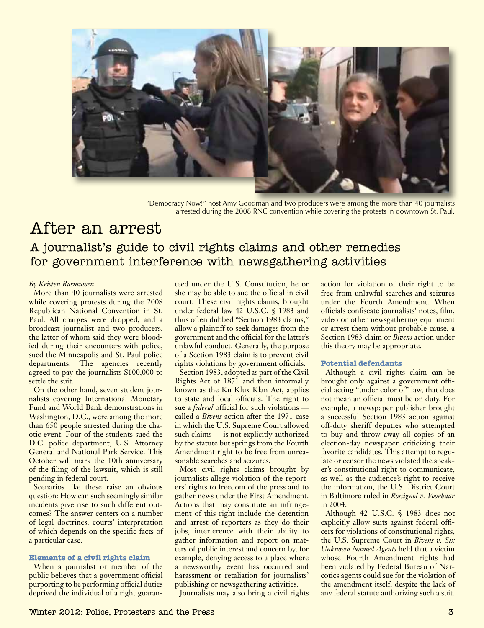

"Democracy Now!" host Amy Goodman and two producers were among the more than 40 journalists arrested during the 2008 RNC convention while covering the protests in downtown St. Paul.

## After an arrest A journalist's guide to civil rights claims and other remedies for government interference with newsgathering activities

## *By Kristen Rasmussen*

More than 40 journalists were arrested while covering protests during the 2008 Republican National Convention in St. Paul. All charges were dropped, and a broadcast journalist and two producers, the latter of whom said they were bloodied during their encounters with police, sued the Minneapolis and St. Paul police departments. The agencies recently agreed to pay the journalists \$100,000 to settle the suit.

On the other hand, seven student journalists covering International Monetary Fund and World Bank demonstrations in Washington, D.C., were among the more than 650 people arrested during the chaotic event. Four of the students sued the D.C. police department, U.S. Attorney General and National Park Service. This October will mark the 10th anniversary of the filing of the lawsuit, which is still pending in federal court.

Scenarios like these raise an obvious question: How can such seemingly similar incidents give rise to such different outcomes? The answer centers on a number of legal doctrines, courts' interpretation of which depends on the specific facts of a particular case.

#### **Elements of a civil rights claim**

When a journalist or member of the public believes that a government official purporting to be performing official duties deprived the individual of a right guaran-

teed under the U.S. Constitution, he or she may be able to sue the official in civil court. These civil rights claims, brought under federal law 42 U.S.C. § 1983 and thus often dubbed "Section 1983 claims," allow a plaintiff to seek damages from the government and the official for the latter's unlawful conduct. Generally, the purpose of a Section 1983 claim is to prevent civil rights violations by government officials.

Section 1983, adopted as part of the Civil Rights Act of 1871 and then informally known as the Ku Klux Klan Act, applies to state and local officials. The right to sue a *federal* official for such violations called a *Bivens* action after the 1971 case in which the U.S. Supreme Court allowed such claims — is not explicitly authorized by the statute but springs from the Fourth Amendment right to be free from unreasonable searches and seizures.

Most civil rights claims brought by journalists allege violation of the reporters' rights to freedom of the press and to gather news under the First Amendment. Actions that may constitute an infringement of this right include the detention and arrest of reporters as they do their jobs, interference with their ability to gather information and report on matters of public interest and concern by, for example, denying access to a place where a newsworthy event has occurred and harassment or retaliation for journalists' publishing or newsgathering activities.

Journalists may also bring a civil rights

action for violation of their right to be free from unlawful searches and seizures under the Fourth Amendment. When officials confiscate journalists' notes, film, video or other newsgathering equipment or arrest them without probable cause, a Section 1983 claim or *Bivens* action under this theory may be appropriate.

## **Potential defendants**

Although a civil rights claim can be brought only against a government official acting "under color of" law, that does not mean an official must be on duty. For example, a newspaper publisher brought a successful Section 1983 action against off-duty sheriff deputies who attempted to buy and throw away all copies of an election-day newspaper criticizing their favorite candidates. This attempt to regulate or censor the news violated the speaker's constitutional right to communicate, as well as the audience's right to receive the information, the U.S. District Court in Baltimore ruled in *Rossignol v. Voorhaar* in 2004.

Although 42 U.S.C. § 1983 does not explicitly allow suits against federal officers for violations of constitutional rights, the U.S. Supreme Court in *Bivens v. Six Unknown Named Agents* held that a victim whose Fourth Amendment rights had been violated by Federal Bureau of Narcotics agents could sue for the violation of the amendment itself, despite the lack of any federal statute authorizing such a suit.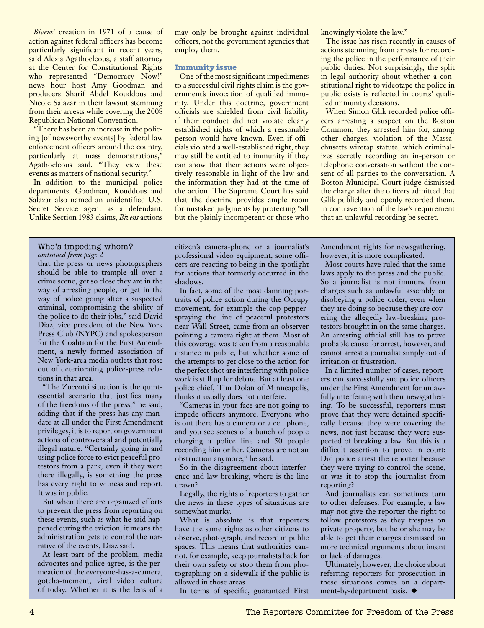*Bivens*' creation in 1971 of a cause of action against federal officers has become particularly significant in recent years, said Alexis Agathocleous, a staff attorney at the Center for Constitutional Rights who represented "Democracy Now!" news hour host Amy Goodman and producers Sharif Abdel Kouddous and Nicole Salazar in their lawsuit stemming from their arrests while covering the 2008 Republican National Convention.

"There has been an increase in the policing [of newsworthy events] by federal law enforcement officers around the country, particularly at mass demonstrations," Agathocleous said. "They view these events as matters of national security."

In addition to the municipal police departments, Goodman, Kouddous and Salazar also named an unidentified U.S. Secret Service agent as a defendant. Unlike Section 1983 claims, *Bivens* actions

#### *continued from page 2* Who's impeding whom?

that the press or news photographers should be able to trample all over a crime scene, get so close they are in the way of arresting people, or get in the way of police going after a suspected criminal, compromising the ability of the police to do their jobs," said David Diaz, vice president of the New York Press Club (NYPC) and spokesperson for the Coalition for the First Amendment, a newly formed association of New York-area media outlets that rose out of deteriorating police-press relations in that area.

"The Zuccotti situation is the quintessential scenario that justifies many of the freedoms of the press," he said, adding that if the press has any mandate at all under the First Amendment privileges, it is to report on government actions of controversial and potentially illegal nature. "Certainly going in and using police force to evict peaceful protestors from a park, even if they were there illegally, is something the press has every right to witness and report. It was in public.

But when there are organized efforts to prevent the press from reporting on these events, such as what he said happened during the eviction, it means the administration gets to control the narrative of the events, Diaz said.

At least part of the problem, media advocates and police agree, is the permeation of the everyone-has-a-camera, gotcha-moment, viral video culture of today. Whether it is the lens of a

may only be brought against individual officers, not the government agencies that employ them.

## **Immunity issue**

One of the most significant impediments to a successful civil rights claim is the government's invocation of qualified immunity. Under this doctrine, government officials are shielded from civil liability if their conduct did not violate clearly established rights of which a reasonable person would have known. Even if officials violated a well-established right, they may still be entitled to immunity if they can show that their actions were objectively reasonable in light of the law and the information they had at the time of the action. The Supreme Court has said that the doctrine provides ample room for mistaken judgments by protecting "all but the plainly incompetent or those who

citizen's camera-phone or a journalist's professional video equipment, some officers are reacting to being in the spotlight for actions that formerly occurred in the shadows.

In fact, some of the most damning portraits of police action during the Occupy movement, for example the cop pepperspraying the line of peaceful protestors near Wall Street, came from an observer pointing a camera right at them. Most of this coverage was taken from a reasonable distance in public, but whether some of the attempts to get close to the action for the perfect shot are interfering with police work is still up for debate. But at least one police chief, Tim Dolan of Minneapolis, thinks it usually does not interfere.

"Cameras in your face are not going to impede officers anymore. Everyone who is out there has a camera or a cell phone, and you see scenes of a bunch of people charging a police line and 50 people recording him or her. Cameras are not an obstruction anymore," he said.

So in the disagreement about interference and law breaking, where is the line drawn?

Legally, the rights of reporters to gather the news in these types of situations are somewhat murky.

What is absolute is that reporters have the same rights as other citizens to observe, photograph, and record in public spaces. This means that authorities cannot, for example, keep journalists back for their own safety or stop them from photographing on a sidewalk if the public is allowed in those areas.

In terms of specific, guaranteed First

knowingly violate the law."

The issue has risen recently in causes of actions stemming from arrests for recording the police in the performance of their public duties. Not surprisingly, the split in legal authority about whether a constitutional right to videotape the police in public exists is reflected in courts' qualified immunity decisions.

When Simon Glik recorded police officers arresting a suspect on the Boston Common, they arrested him for, among other charges, violation of the Massachusetts wiretap statute, which criminalizes secretly recording an in-person or telephone conversation without the consent of all parties to the conversation. A Boston Municipal Court judge dismissed the charge after the officers admitted that Glik publicly and openly recorded them, in contravention of the law's requirement that an unlawful recording be secret.

Amendment rights for newsgathering, however, it is more complicated.

Most courts have ruled that the same laws apply to the press and the public. So a journalist is not immune from charges such as unlawful assembly or disobeying a police order, even when they are doing so because they are covering the allegedly law-breaking protestors brought in on the same charges. An arresting official still has to prove probable cause for arrest, however, and cannot arrest a journalist simply out of irritation or frustration.

In a limited number of cases, reporters can successfully sue police officers under the First Amendment for unlawfully interfering with their newsgathering. To be successful, reporters must prove that they were detained specifically because they were covering the news, not just because they were suspected of breaking a law. But this is a difficult assertion to prove in court: Did police arrest the reporter because they were trying to control the scene, or was it to stop the journalist from reporting?

And journalists can sometimes turn to other defenses. For example, a law may not give the reporter the right to follow protestors as they trespass on private property, but he or she may be able to get their charges dismissed on more technical arguments about intent or lack of damages.

Ultimately, however, the choice about referring reporters for prosecution in these situations comes on a department-by-department basis.  $\blacklozenge$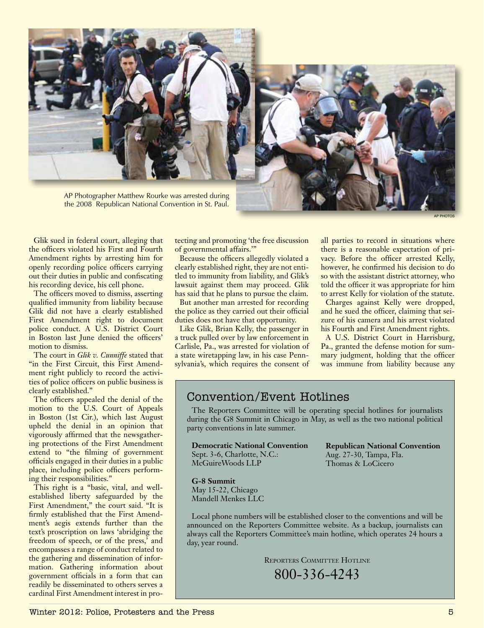

AP Photographer Matthew Rourke was arrested during the 2008 Republican National Convention in St. Paul.



AP photos

Glik sued in federal court, alleging that the officers violated his First and Fourth Amendment rights by arresting him for openly recording police officers carrying out their duties in public and confiscating his recording device, his cell phone.

The officers moved to dismiss, asserting qualified immunity from liability because Glik did not have a clearly established First Amendment right to document police conduct. A U.S. District Court in Boston last June denied the officers' motion to dismiss.

The court in *Glik v. Cunniffe* stated that "in the First Circuit, this First Amendment right publicly to record the activities of police officers on public business is clearly established."

The officers appealed the denial of the motion to the U.S. Court of Appeals in Boston (1st Cir.), which last August upheld the denial in an opinion that vigorously affirmed that the newsgathering protections of the First Amendment extend to "the filming of government officials engaged in their duties in a public place, including police officers performing their responsibilities."

This right is a "basic, vital, and wellestablished liberty safeguarded by the First Amendment," the court said. "It is firmly established that the First Amendment's aegis extends further than the text's proscription on laws 'abridging the freedom of speech, or of the press,' and encompasses a range of conduct related to the gathering and dissemination of information. Gathering information about government officials in a form that can readily be disseminated to others serves a cardinal First Amendment interest in pro-

tecting and promoting 'the free discussion of governmental affairs.'"

Because the officers allegedly violated a clearly established right, they are not entitled to immunity from liability, and Glik's lawsuit against them may proceed. Glik has said that he plans to pursue the claim.

But another man arrested for recording the police as they carried out their official duties does not have that opportunity.

Like Glik, Brian Kelly, the passenger in a truck pulled over by law enforcement in Carlisle, Pa., was arrested for violation of a state wiretapping law, in his case Pennsylvania's, which requires the consent of all parties to record in situations where there is a reasonable expectation of privacy. Before the officer arrested Kelly, however, he confirmed his decision to do so with the assistant district attorney, who told the officer it was appropriate for him to arrest Kelly for violation of the statute.

Charges against Kelly were dropped, and he sued the officer, claiming that seizure of his camera and his arrest violated his Fourth and First Amendment rights.

A U.S. District Court in Harrisburg, Pa., granted the defense motion for summary judgment, holding that the officer was immune from liability because any

## Convention/Event Hotlines

The Reporters Committee will be operating special hotlines for journalists during the G8 Summit in Chicago in May, as well as the two national political party conventions in late summer.

**Democratic National Convention** Sept. 3-6, Charlotte, N.C.: McGuireWoods LLP

**Republican National Convention** Aug. 27-30, Tampa, Fla. Thomas & LoCicero

#### **G-8 Summit**

May 15-22, Chicago Mandell Menkes LLC

Local phone numbers will be established closer to the conventions and will be announced on the Reporters Committee website. As a backup, journalists can always call the Reporters Committee's main hotline, which operates 24 hours a day, year round.

Reporters Committee Hotline

800-336-4243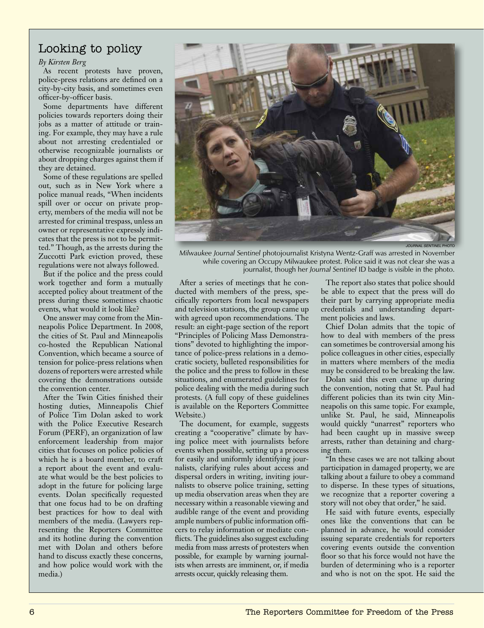## Looking to policy

## *By Kirsten Berg*

As recent protests have proven, police-press relations are defined on a city-by-city basis, and sometimes even officer-by-officer basis.

Some departments have different policies towards reporters doing their jobs as a matter of attitude or training. For example, they may have a rule about not arresting credentialed or otherwise recognizable journalists or about dropping charges against them if they are detained.

Some of these regulations are spelled out, such as in New York where a police manual reads, "When incidents spill over or occur on private property, members of the media will not be arrested for criminal trespass, unless an owner or representative expressly indicates that the press is not to be permitted." Though, as the arrests during the Zuccotti Park eviction proved, these regulations were not always followed.

But if the police and the press could work together and form a mutually accepted policy about treatment of the press during these sometimes chaotic events, what would it look like?

One answer may come from the Minneapolis Police Department. In 2008, the cities of St. Paul and Minneapolis co-hosted the Republican National Convention, which became a source of tension for police-press relations when dozens of reporters were arrested while covering the demonstrations outside the convention center.

After the Twin Cities finished their hosting duties, Minneapolis Chief of Police Tim Dolan asked to work with the Police Executive Research Forum (PERF), an organization of law enforcement leadership from major cities that focuses on police policies of which he is a board member, to craft a report about the event and evaluate what would be the best policies to adopt in the future for policing large events. Dolan specifically requested that one focus had to be on drafting best practices for how to deal with members of the media. (Lawyers representing the Reporters Committee and its hotline during the convention met with Dolan and others before hand to discuss exactly these concerns, and how police would work with the media.)

*Journal Sentinel* photo

*Milwaukee Journal Sentinel* photojournalist Kristyna Wentz-Graff was arrested in November while covering an Occupy Milwaukee protest. Police said it was not clear she was a journalist, though her *Journal Sentinel* ID badge is visible in the photo.

After a series of meetings that he conducted with members of the press, specifically reporters from local newspapers and television stations, the group came up with agreed upon recommendations. The result: an eight-page section of the report "Principles of Policing Mass Demonstrations" devoted to highlighting the importance of police-press relations in a democratic society, bulleted responsibilities for the police and the press to follow in these situations, and enumerated guidelines for police dealing with the media during such protests. (A full copy of these guidelines is available on the Reporters Committee Website.)

The document, for example, suggests creating a "cooperative" climate by having police meet with journalists before events when possible, setting up a process for easily and uniformly identifying journalists, clarifying rules about access and dispersal orders in writing, inviting journalists to observe police training, setting up media observation areas when they are necessary within a reasonable viewing and audible range of the event and providing ample numbers of public information officers to relay information or mediate conflicts. The guidelines also suggest excluding media from mass arrests of protesters when possible, for example by warning journalists when arrests are imminent, or, if media arrests occur, quickly releasing them.

The report also states that police should be able to expect that the press will do their part by carrying appropriate media credentials and understanding department policies and laws.

Chief Dolan admits that the topic of how to deal with members of the press can sometimes be controversial among his police colleagues in other cities, especially in matters where members of the media may be considered to be breaking the law.

Dolan said this even came up during the convention, noting that St. Paul had different policies than its twin city Minneapolis on this same topic. For example, unlike St. Paul, he said, Minneapolis would quickly "unarrest" reporters who had been caught up in massive sweep arrests, rather than detaining and charging them.

"In these cases we are not talking about participation in damaged property, we are talking about a failure to obey a command to disperse. In these types of situations, we recognize that a reporter covering a story will not obey that order," he said.

He said with future events, especially ones like the conventions that can be planned in advance, he would consider issuing separate credentials for reporters covering events outside the convention floor so that his force would not have the burden of determining who is a reporter and who is not on the spot. He said the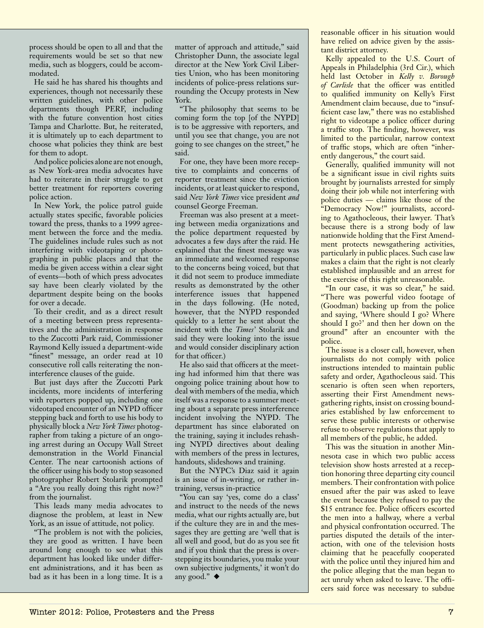process should be open to all and that the requirements would be set so that new media, such as bloggers, could be accommodated.

He said he has shared his thoughts and experiences, though not necessarily these written guidelines, with other police departments though PERF, including with the future convention host cities Tampa and Charlotte. But, he reiterated, it is ultimately up to each department to choose what policies they think are best for them to adopt.

And police policies alone are not enough, as New York-area media advocates have had to reiterate in their struggle to get better treatment for reporters covering police action.

In New York, the police patrol guide actually states specific, favorable policies toward the press, thanks to a 1999 agreement between the force and the media. The guidelines include rules such as not interfering with videotaping or photographing in public places and that the media be given access within a clear sight of events—both of which press advocates say have been clearly violated by the department despite being on the books for over a decade.

To their credit, and as a direct result of a meeting between press representatives and the administration in response to the Zuccotti Park raid, Commissioner Raymond Kelly issued a department-wide "finest" message, an order read at 10 consecutive roll calls reiterating the noninterference clauses of the guide.

But just days after the Zuccotti Park incidents, more incidents of interfering with reporters popped up, including one videotaped encounter of an NYPD officer stepping back and forth to use his body to physically block a *New York Times* photographer from taking a picture of an ongoing arrest during an Occupy Wall Street demonstration in the World Financial Center. The near cartoonish actions of the officer using his body to stop seasoned photographer Robert Stolarik prompted a "Are you really doing this right now?" from the journalist.

This leads many media advocates to diagnose the problem, at least in New York, as an issue of attitude, not policy.

"The problem is not with the policies, they are good as written. I have been around long enough to see what this department has looked like under different administrations, and it has been as bad as it has been in a long time. It is a

matter of approach and attitude," said Christopher Dunn, the associate legal director at the New York Civil Liberties Union, who has been monitoring incidents of police-press relations surrounding the Occupy protests in New York.

"The philosophy that seems to be coming form the top [of the NYPD] is to be aggressive with reporters, and until you see that change, you are not going to see changes on the street," he said.

For one, they have been more receptive to complaints and concerns of reporter treatment since the eviction incidents, or at least quicker to respond, said *New York Times* vice president *and*  counsel George Freeman.

Freeman was also present at a meeting between media organizations and the police department requested by advocates a few days after the raid. He explained that the finest message was an immediate and welcomed response to the concerns being voiced, but that it did not seem to produce immediate results as demonstrated by the other interference issues that happened in the days following. (He noted, however, that the NYPD responded quickly to a letter he sent about the incident with the *Times'* Stolarik and said they were looking into the issue and would consider disciplinary action for that officer.)

He also said that officers at the meeting had informed him that there was ongoing police training about how to deal with members of the media, which itself was a response to a summer meeting about a separate press interference incident involving the NYPD. The department has since elaborated on the training, saying it includes rehashing NYPD directives about dealing with members of the press in lectures, handouts, slideshows and training.

But the NYPC's Diaz said it again is an issue of in-writing, or rather intraining, versus in-practice

"You can say 'yes, come do a class' and instruct to the needs of the news media, what our rights actually are, but if the culture they are in and the messages they are getting are 'well that is all well and good, but do as you see fit and if you think that the press is overstepping its boundaries, you make your own subjective judgments,' it won't do any good."  $\blacklozenge$ 

reasonable officer in his situation would have relied on advice given by the assistant district attorney.

Kelly appealed to the U.S. Court of Appeals in Philadelphia (3rd Cir.), which held last October in *Kelly v. Borough of Carlisle* that the officer was entitled to qualified immunity on Kelly's First Amendment claim because, due to "insufficient case law," there was no established right to videotape a police officer during a traffic stop. The finding, however, was limited to the particular, narrow context of traffic stops, which are often "inherently dangerous," the court said.

Generally, qualified immunity will not be a significant issue in civil rights suits brought by journalists arrested for simply doing their job while not interfering with police duties — claims like those of the "Democracy Now!" journalists, according to Agathocleous, their lawyer. That's because there is a strong body of law nationwide holding that the First Amendment protects newsgathering activities, particularly in public places. Such case law makes a claim that the right is not clearly established implausible and an arrest for the exercise of this right unreasonable.

"In our case, it was so clear," he said. "There was powerful video footage of (Goodman) backing up from the police and saying, 'Where should I go? Where should I go?' and then her down on the ground" after an encounter with the police.

The issue is a closer call, however, when journalists do not comply with police instructions intended to maintain public safety and order, Agathocleous said. This scenario is often seen when reporters, asserting their First Amendment newsgathering rights, insist on crossing boundaries established by law enforcement to serve these public interests or otherwise refuse to observe regulations that apply to all members of the public, he added.

This was the situation in another Minnesota case in which two public access television show hosts arrested at a reception honoring three departing city council members. Their confrontation with police ensued after the pair was asked to leave the event because they refused to pay the \$15 entrance fee. Police officers escorted the men into a hallway, where a verbal and physical confrontation occurred. The parties disputed the details of the interaction, with one of the television hosts claiming that he peacefully cooperated with the police until they injured him and the police alleging that the man began to act unruly when asked to leave. The officers said force was necessary to subdue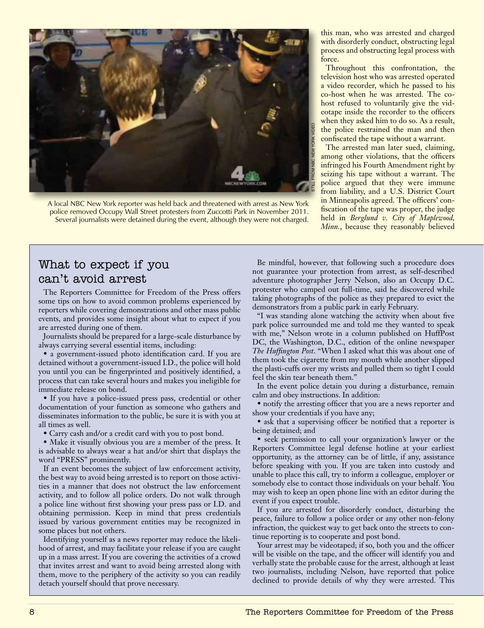

A local NBC New York reporter was held back and threatened with arrest as New York police removed Occupy Wall Street protesters from Zuccotti Park in November 2011. Several journalists were detained during the event, although they were not charged.

this man, who was arrested and charged with disorderly conduct, obstructing legal process and obstructing legal process with force.

Throughout this confrontation, the television host who was arrested operated a video recorder, which he passed to his co-host when he was arrested. The cohost refused to voluntarily give the videotape inside the recorder to the officers when they asked him to do so. As a result, the police restrained the man and then confiscated the tape without a warrant.

The arrested man later sued, claiming, among other violations, that the officers infringed his Fourth Amendment right by seizing his tape without a warrant. The police argued that they were immune from liability, and a U.S. District Court in Minneapolis agreed. The officers' confiscation of the tape was proper, the judge held in *Berglund v. City of Maplewood, Minn.*, because they reasonably believed

## What to expect if you can't avoid arrest

The Reporters Committee for Freedom of the Press offers some tips on how to avoid common problems experienced by reporters while covering demonstrations and other mass public events, and provides some insight about what to expect if you are arrested during one of them.

Journalists should be prepared for a large-scale disturbance by always carrying several essential items, including:

• a government-issued photo identification card. If you are detained without a government-issued I.D., the police will hold you until you can be fingerprinted and positively identified, a process that can take several hours and makes you ineligible for immediate release on bond.

• If you have a police-issued press pass, credential or other documentation of your function as someone who gathers and disseminates information to the public, be sure it is with you at all times as well.

• Carry cash and/or a credit card with you to post bond.

• Make it visually obvious you are a member of the press. It is advisable to always wear a hat and/or shirt that displays the word "PRESS" prominently.

If an event becomes the subject of law enforcement activity, the best way to avoid being arrested is to report on those activities in a manner that does not obstruct the law enforcement activity, and to follow all police orders. Do not walk through a police line without first showing your press pass or I.D. and obtaining permission. Keep in mind that press credentials issued by various government entities may be recognized in some places but not others.

Identifying yourself as a news reporter may reduce the likelihood of arrest, and may facilitate your release if you are caught up in a mass arrest. If you are covering the activities of a crowd that invites arrest and want to avoid being arrested along with them, move to the periphery of the activity so you can readily detach yourself should that prove necessary.

Be mindful, however, that following such a procedure does not guarantee your protection from arrest, as self-described adventure photographer Jerry Nelson, also an Occupy D.C. protester who camped out full-time, said he discovered while taking photographs of the police as they prepared to evict the demonstrators from a public park in early February.

"I was standing alone watching the activity when about five park police surrounded me and told me they wanted to speak with me," Nelson wrote in a column published on HuffPost DC, the Washington, D.C., edition of the online newspaper *The Huffington Post*. "When I asked what this was about one of them took the cigarette from my mouth while another slipped the plasti-cuffs over my wrists and pulled them so tight I could feel the skin tear beneath them."

In the event police detain you during a disturbance, remain calm and obey instructions. In addition:

• notify the arresting officer that you are a news reporter and show your credentials if you have any;

• ask that a supervising officer be notified that a reporter is being detained; and

• seek permission to call your organization's lawyer or the Reporters Committee legal defense hotline at your earliest opportunity, as the attorney can be of little, if any, assistance before speaking with you. If you are taken into custody and unable to place this call, try to inform a colleague, employer or somebody else to contact those individuals on your behalf. You may wish to keep an open phone line with an editor during the event if you expect trouble.

If you are arrested for disorderly conduct, disturbing the peace, failure to follow a police order or any other non-felony infraction, the quickest way to get back onto the streets to continue reporting is to cooperate and post bond.

Your arrest may be videotaped; if so, both you and the officer will be visible on the tape, and the officer will identify you and verbally state the probable cause for the arrest, although at least two journalists, including Nelson, have reported that police declined to provide details of why they were arrested. This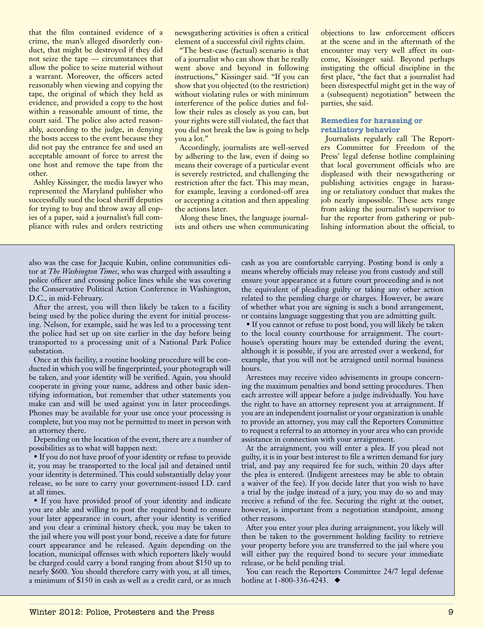that the film contained evidence of a crime, the man's alleged disorderly conduct, that might be destroyed if they did not seize the tape — circumstances that allow the police to seize material without a warrant. Moreover, the officers acted reasonably when viewing and copying the tape, the original of which they held as evidence, and provided a copy to the host within a reasonable amount of time, the court said. The police also acted reasonably, according to the judge, in denying the hosts access to the event because they did not pay the entrance fee and used an acceptable amount of force to arrest the one host and remove the tape from the other.

Ashley Kissinger, the media lawyer who represented the Maryland publisher who successfully sued the local sheriff deputies for trying to buy and throw away all copies of a paper, said a journalist's full compliance with rules and orders restricting newsgathering activities is often a critical element of a successful civil rights claim.

"The best-case (factual) scenario is that of a journalist who can show that he really went above and beyond in following instructions," Kissinger said. "If you can show that you objected (to the restriction) without violating rules or with minimum interference of the police duties and follow their rules as closely as you can, but your rights were still violated, the fact that you did not break the law is going to help you a lot."

Accordingly, journalists are well-served by adhering to the law, even if doing so means their coverage of a particular event is severely restricted, and challenging the restriction after the fact. This may mean, for example, leaving a cordoned-off area or accepting a citation and then appealing the actions later.

Along these lines, the language journalists and others use when communicating objections to law enforcement officers at the scene and in the aftermath of the encounter may very well affect its outcome, Kissinger said. Beyond perhaps instigating the official discipline in the first place, "the fact that a journalist had been disrespectful might get in the way of a (subsequent) negotiation" between the parties, she said.

## **Remedies for harassing or retaliatory behavior**

Journalists regularly call The Reporters Committee for Freedom of the Press' legal defense hotline complaining that local government officials who are displeased with their newsgathering or publishing activities engage in harassing or retaliatory conduct that makes the job nearly impossible. These acts range from asking the journalist's supervisor to bar the reporter from gathering or publishing information about the official, to

also was the case for Jacquie Kubin, online communities editor at *The Washington Times*, who was charged with assaulting a police officer and crossing police lines while she was covering the Conservative Political Action Conference in Washington, D.C., in mid-February.

After the arrest, you will then likely be taken to a facility being used by the police during the event for initial processing. Nelson, for example, said he was led to a processing tent the police had set up on site earlier in the day before being transported to a processing unit of a National Park Police substation.

Once at this facility, a routine booking procedure will be conducted in which you will be fingerprinted, your photograph will be taken, and your identity will be verified. Again, you should cooperate in giving your name, address and other basic identifying information, but remember that other statements you make can and will be used against you in later proceedings. Phones may be available for your use once your processing is complete, but you may not be permitted to meet in person with an attorney there.

Depending on the location of the event, there are a number of possibilities as to what will happen next:

• If you do not have proof of your identity or refuse to provide it, you may be transported to the local jail and detained until your identity is determined. This could substantially delay your release, so be sure to carry your government-issued I.D. card at all times.

• If you have provided proof of your identity and indicate you are able and willing to post the required bond to ensure your later appearance in court, after your identity is verified and you clear a criminal history check, you may be taken to the jail where you will post your bond, receive a date for future court appearance and be released. Again depending on the location, municipal offenses with which reporters likely would be charged could carry a bond ranging from about \$150 up to nearly \$600. You should therefore carry with you, at all times, a minimum of \$150 in cash as well as a credit card, or as much cash as you are comfortable carrying. Posting bond is only a means whereby officials may release you from custody and still ensure your appearance at a future court proceeding and is not the equivalent of pleading guilty or taking any other action related to the pending charge or charges. However, be aware of whether what you are signing is such a bond arrangement, or contains language suggesting that you are admitting guilt.

• If you cannot or refuse to post bond, you will likely be taken to the local county courthouse for arraignment. The courthouse's operating hours may be extended during the event, although it is possible, if you are arrested over a weekend, for example, that you will not be arraigned until normal business hours.

Arrestees may receive video advisements in groups concerning the maximum penalties and bond setting procedures. Then each arrestee will appear before a judge individually. You have the right to have an attorney represent you at arraignment. If you are an independent journalist or your organization is unable to provide an attorney, you may call the Reporters Committee to request a referral to an attorney in your area who can provide assistance in connection with your arraignment.

At the arraignment, you will enter a plea. If you plead not guilty, it is in your best interest to file a written demand for jury trial, and pay any required fee for such, within 20 days after the plea is entered. (Indigent arrestees may be able to obtain a waiver of the fee). If you decide later that you wish to have a trial by the judge instead of a jury, you may do so and may receive a refund of the fee. Securing the right at the outset, however, is important from a negotiation standpoint, among other reasons.

After you enter your plea during arraignment, you likely will then be taken to the government holding facility to retrieve your property before you are transferred to the jail where you will either pay the required bond to secure your immediate release, or be held pending trial.

You can reach the Reporters Committee 24/7 legal defense hotline at 1-800-336-4243.  $\triangleleft$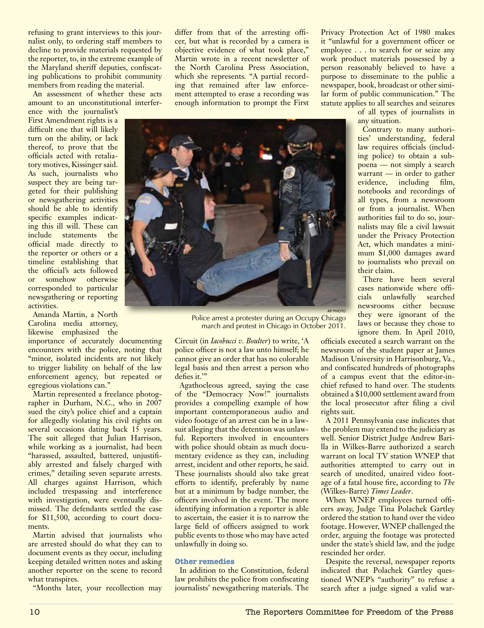refusing to grant interviews to this journalist only, to ordering staff members to decline to provide materials requested by the reporter, to, in the extreme example of the Maryland sheriff deputies, confiscating publications to prohibit community members from reading the material.

An assessment of whether these acts amount to an unconstitutional interfer-

ence with the journalist's First Amendment rights is a difficult one that will likely turn on the ability, or lack thereof, to prove that the officials acted with retaliatory motives, Kissinger said. As such, journalists who suspect they are being targeted for their publishing or newsgathering activities should be able to identify specific examples indicating this ill will. These can include statements the official made directly to the reporter or others or a timeline establishing that the official's acts followed or somehow otherwise corresponded to particular newsgathering or reporting activities.

Amanda Martin, a North Carolina media attorney, likewise emphasized the

importance of accurately documenting encounters with the police, noting that "minor, isolated incidents are not likely to trigger liability on behalf of the law enforcement agency, but repeated or egregious violations can."

Martin represented a freelance photographer in Durham, N.C., who in 2007 sued the city's police chief and a captain for allegedly violating his civil rights on several occasions dating back 15 years. The suit alleged that Julian Harrison, while working as a journalist, had been "harassed, assaulted, battered, unjustifiably arrested and falsely charged with crimes," detailing seven separate arrests. All charges against Harrison, which included trespassing and interference with investigation, were eventually dismissed. The defendants settled the case for \$11,500, according to court documents.

Martin advised that journalists who are arrested should do what they can to document events as they occur, including keeping detailed written notes and asking another reporter on the scene to record what transpires.

"Months later, your recollection may

differ from that of the arresting officer, but what is recorded by a camera is objective evidence of what took place,' Martin wrote in a recent newsletter of the North Carolina Press Association, which she represents. "A partial recording that remained after law enforcement attempted to erase a recording was enough information to prompt the First

Privacy Protection Act of 1980 makes it "unlawful for a government officer or employee . . . to search for or seize any work product materials possessed by a person reasonably believed to have a purpose to disseminate to the public a newspaper, book, broadcast or other similar form of public communication." The statute applies to all searches and seizures

of all types of journalists in any situation.

Contrary to many authorities' understanding, federal law requires officials (including police) to obtain a subpoena — not simply a search warrant — in order to gather evidence, including film, notebooks and recordings of all types, from a newsroom or from a journalist. When authorities fail to do so, journalists may file a civil lawsuit under the Privacy Protection Act, which mandates a minimum \$1,000 damages award to journalists who prevail on their claim.

There have been several cases nationwide where officials unlawfully searched newsrooms either because they were ignorant of the laws or because they chose to ignore them. In April 2010,

officials executed a search warrant on the newsroom of the student paper at James Madison University in Harrisonburg, Va., and confiscated hundreds of photographs of a campus event that the editor-inchief refused to hand over. The students obtained a \$10,000 settlement award from the local prosecutor after filing a civil rights suit.

A 2011 Pennsylvania case indicates that the problem may extend to the judiciary as well. Senior District Judge Andrew Barilla in Wilkes-Barre authorized a search warrant on local TV station WNEP that authorities attempted to carry out in search of unedited, unaired video footage of a fatal house fire, according to *The* (Wilkes-Barre) *Times Leader*.

When WNEP employees turned officers away, Judge Tina Polachek Gartley ordered the station to hand over the video footage. However, WNEP challenged the order, arguing the footage was protected under the state's shield law, and the judge rescinded her order.

Despite the reversal, newspaper reports indicated that Polachek Gartley questioned WNEP's "authority" to refuse a search after a judge signed a valid war-



march and protest in Chicago in October 2011.

Circuit (in *Iacobucci v. Boulter*) to write, 'A police officer is not a law unto himself; he cannot give an order that has no colorable legal basis and then arrest a person who

Agathocleous agreed, saying the case of the "Democracy Now!" journalists provides a compelling example of how important contemporaneous audio and video footage of an arrest can be in a lawsuit alleging that the detention was unlawful. Reporters involved in encounters with police should obtain as much documentary evidence as they can, including arrest, incident and other reports, he said. These journalists should also take great efforts to identify, preferably by name but at a minimum by badge number, the officers involved in the event. The more identifying information a reporter is able to ascertain, the easier it is to narrow the large field of officers assigned to work public events to those who may have acted

defies it.'"

unlawfully in doing so.

**Other remedies** 

In addition to the Constitution, federal law prohibits the police from confiscating journalists' newsgathering materials. The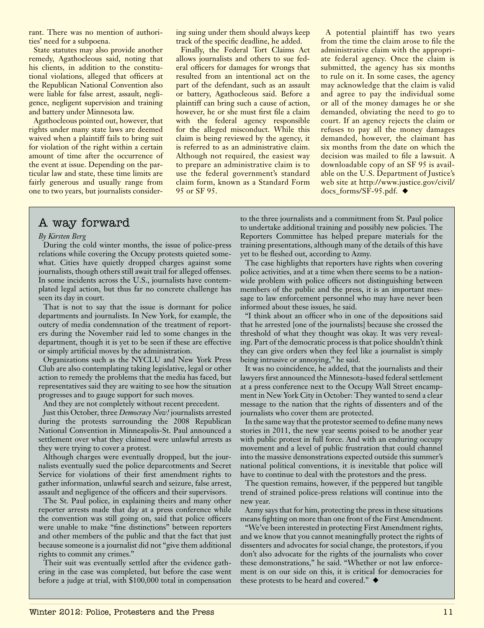rant. There was no mention of authorities' need for a subpoena.

State statutes may also provide another remedy, Agathocleous said, noting that his clients, in addition to the constitutional violations, alleged that officers at the Republican National Convention also were liable for false arrest, assault, negligence, negligent supervision and training and battery under Minnesota law.

Agathocleous pointed out, however, that rights under many state laws are deemed waived when a plaintiff fails to bring suit for violation of the right within a certain amount of time after the occurrence of the event at issue. Depending on the particular law and state, these time limits are fairly generous and usually range from one to two years, but journalists considering suing under them should always keep track of the specific deadline, he added.

Finally, the Federal Tort Claims Act allows journalists and others to sue federal officers for damages for wrongs that resulted from an intentional act on the part of the defendant, such as an assault or battery, Agathocleous said. Before a plaintiff can bring such a cause of action, however, he or she must first file a claim with the federal agency responsible for the alleged misconduct. While this claim is being reviewed by the agency, it is referred to as an administrative claim. Although not required, the easiest way to prepare an administrative claim is to use the federal government's standard claim form, known as a Standard Form 95 or SF 95.

A potential plaintiff has two years from the time the claim arose to file the administrative claim with the appropriate federal agency. Once the claim is submitted, the agency has six months to rule on it. In some cases, the agency may acknowledge that the claim is valid and agree to pay the individual some or all of the money damages he or she demanded, obviating the need to go to court. If an agency rejects the claim or refuses to pay all the money damages demanded, however, the claimant has six months from the date on which the decision was mailed to file a lawsuit. A downloadable copy of an SF 95 is available on the U.S. Department of Justice's web site at http://www.justice.gov/civil/  $docs\_forms/SF-95.pdf.$ 

## A way forward

## *By Kirsten Berg*

During the cold winter months, the issue of police-press relations while covering the Occupy protests quieted somewhat. Cities have quietly dropped charges against some journalists, though others still await trail for alleged offenses. In some incidents across the U.S., journalists have contemplated legal action, but thus far no concrete challenge has seen its day in court.

That is not to say that the issue is dormant for police departments and journalists. In New York, for example, the outcry of media condemnation of the treatment of reporters during the November raid led to some changes in the department, though it is yet to be seen if these are effective or simply artificial moves by the administration.

Organizations such as the NYCLU and New York Press Club are also contemplating taking legislative, legal or other action to remedy the problems that the media has faced, but representatives said they are waiting to see how the situation progresses and to gauge support for such moves.

And they are not completely without recent precedent.

Just this October, three *Democracy Now!* journalists arrested during the protests surrounding the 2008 Republican National Convention in Minneapolis-St. Paul announced a settlement over what they claimed were unlawful arrests as they were trying to cover a protest.

Although charges were eventually dropped, but the journalists eventually sued the police deparcotments and Secret Service for violations of their first amendment rights to gather information, unlawful search and seizure, false arrest, assault and negligence of the officers and their supervisors.

The St. Paul police, in explaining theirs and many other reporter arrests made that day at a press conference while the convention was still going on, said that police officers were unable to make "fine distinctions" between reporters and other members of the public and that the fact that just because someone is a journalist did not "give them additional rights to commit any crimes."

Their suit was eventually settled after the evidence gathering in the case was completed, but before the case went before a judge at trial, with \$100,000 total in compensation to the three journalists and a commitment from St. Paul police to undertake additional training and possibly new policies. The Reporters Committee has helped prepare materials for the training presentations, although many of the details of this have yet to be fleshed out, according to Azmy.

The case highlights that reporters have rights when covering police activities, and at a time when there seems to be a nationwide problem with police officers not distinguishing between members of the public and the press, it is an important message to law enforcement personnel who may have never been informed about these issues, he said.

"I think about an officer who in one of the depositions said that he arrested [one of the journalists] because she crossed the threshold of what they thought was okay. It was very revealing. Part of the democratic process is that police shouldn't think they can give orders when they feel like a journalist is simply being intrusive or annoying," he said.

It was no coincidence, he added, that the journalists and their lawyers first announced the Minnesota-based federal settlement at a press conference next to the Occupy Wall Street encampment in New York City in October: They wanted to send a clear message to the nation that the rights of dissenters and of the journalists who cover them are protected.

In the same way that the protestor seemed to define many news stories in 2011, the new year seems poised to be another year with public protest in full force. And with an enduring occupy movement and a level of public frustration that could channel into the massive demonstrations expected outside this summer's national political conventions, it is inevitable that police will have to continue to deal with the protestors and the press.

The question remains, however, if the peppered but tangible trend of strained police-press relations will continue into the new year.

Azmy says that for him, protecting the press in these situations means fighting on more than one front of the First Amendment.

"We've been interested in protecting First Amendment rights, and we know that you cannot meaningfully protect the rights of dissenters and advocates for social change, the protestors, if you don't also advocate for the rights of the journalists who cover these demonstrations," he said. "Whether or not law enforcement is on our side on this, it is critical for democracies for these protests to be heard and covered."  $\blacklozenge$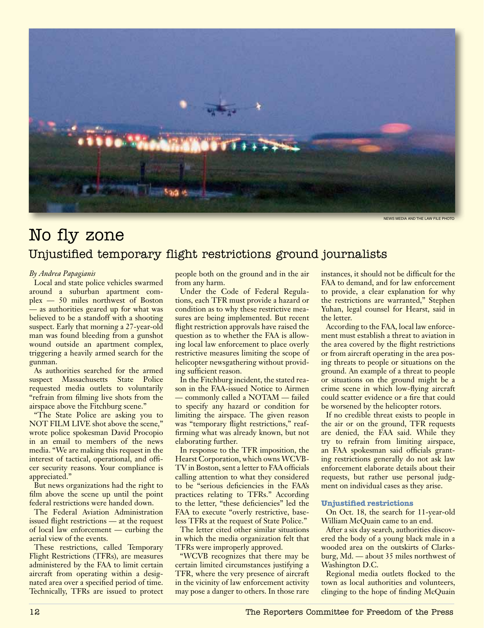

News Media and the Law file photo

## No fly zone Unjustified temporary flight restrictions ground journalists

## *By Andrea Papagianis*

Local and state police vehicles swarmed around a suburban apartment complex — 50 miles northwest of Boston — as authorities geared up for what was believed to be a standoff with a shooting suspect. Early that morning a 27-year-old man was found bleeding from a gunshot wound outside an apartment complex, triggering a heavily armed search for the gunman.

As authorities searched for the armed suspect Massachusetts State Police requested media outlets to voluntarily "refrain from filming live shots from the airspace above the Fitchburg scene."

"The State Police are asking you to NOT FILM LIVE shot above the scene," wrote police spokesman David Procopio in an email to members of the news media. "We are making this request in the interest of tactical, operational, and officer security reasons. Your compliance is appreciated."

But news organizations had the right to film above the scene up until the point federal restrictions were handed down.

The Federal Aviation Administration issued flight restrictions — at the request of local law enforcement — curbing the aerial view of the events.

These restrictions, called Temporary Flight Restrictions (TFRs), are measures administered by the FAA to limit certain aircraft from operating within a designated area over a specified period of time. Technically, TFRs are issued to protect

people both on the ground and in the air from any harm.

Under the Code of Federal Regulations, each TFR must provide a hazard or condition as to why these restrictive measures are being implemented. But recent flight restriction approvals have raised the question as to whether the FAA is allowing local law enforcement to place overly restrictive measures limiting the scope of helicopter newsgathering without providing sufficient reason.

In the Fitchburg incident, the stated reason in the FAA-issued Notice to Airmen — commonly called a NOTAM — failed to specify any hazard or condition for limiting the airspace. The given reason was "temporary flight restrictions," reaffirming what was already known, but not elaborating further.

In response to the TFR imposition, the Hearst Corporation, which owns WCVB-TV in Boston, sent a letter to FAA officials calling attention to what they considered to be "serious deficiencies in the FAA's practices relating to TFRs." According to the letter, "these deficiencies" led the FAA to execute "overly restrictive, baseless TFRs at the request of State Police."

The letter cited other similar situations in which the media organization felt that TFRs were improperly approved.

"WCVB recognizes that there may be certain limited circumstances justifying a TFR, where the very presence of aircraft in the vicinity of law enforcement activity may pose a danger to others. In those rare

instances, it should not be difficult for the FAA to demand, and for law enforcement to provide, a clear explanation for why the restrictions are warranted," Stephen Yuhan, legal counsel for Hearst, said in the letter.

According to the FAA, local law enforcement must establish a threat to aviation in the area covered by the flight restrictions or from aircraft operating in the area posing threats to people or situations on the ground. An example of a threat to people or situations on the ground might be a crime scene in which low-flying aircraft could scatter evidence or a fire that could be worsened by the helicopter rotors.

If no credible threat exists to people in the air or on the ground, TFR requests are denied, the FAA said. While they try to refrain from limiting airspace, an FAA spokesman said officials granting restrictions generally do not ask law enforcement elaborate details about their requests, but rather use personal judgment on individual cases as they arise.

## **Unjustified restrictions**

On Oct. 18, the search for 11-year-old William McQuain came to an end.

After a six day search, authorities discovered the body of a young black male in a wooded area on the outskirts of Clarksburg, Md. — about 35 miles northwest of Washington D.C.

Regional media outlets flocked to the town as local authorities and volunteers, clinging to the hope of finding McQuain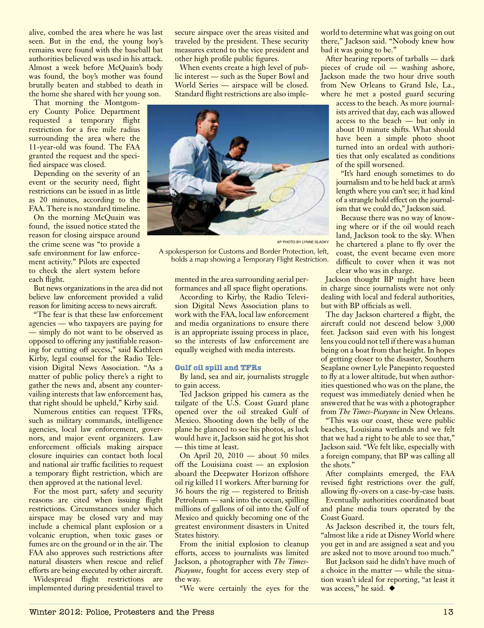alive, combed the area where he was last seen. But in the end, the young boy's remains were found with the baseball bat authorities believed was used in his attack. Almost a week before McQuain's body was found, the boy's mother was found brutally beaten and stabbed to death in the home she shared with her young son.

That morning the Montgomery County Police Department requested a temporary flight restriction for a five mile radius surrounding the area where the 11-year-old was found. The FAA granted the request and the specified airspace was closed.

Depending on the severity of an event or the security need, flight restrictions can be issued in as little as 20 minutes, according to the FAA. There is no standard timeline.

On the morning McQuain was found, the issued notice stated the reason for closing airspace around the crime scene was "to provide a safe environment for law enforcement activity." Pilots are expected to check the alert system before each flight.

But news organizations in the area did not believe law enforcement provided a valid reason for limiting access to news aircraft.

"The fear is that these law enforcement agencies — who taxpayers are paying for — simply do not want to be observed as opposed to offering any justifiable reasoning for cutting off access," said Kathleen Kirby, legal counsel for the Radio Television Digital News Association. "As a matter of public policy there's a right to gather the news and, absent any countervailing interests that law enforcement has, that right should be upheld," Kirby said.

Numerous entities can request TFRs, such as military commands, intelligence agencies, local law enforcement, governors, and major event organizers. Law enforcement officials making airspace closure inquiries can contact both local and national air traffic facilities to request a temporary flight restriction, which are then approved at the national level.

For the most part, safety and security reasons are cited when issuing flight restrictions. Circumstances under which airspace may be closed vary and may include a chemical plant explosion or a volcanic eruption, when toxic gases or fumes are on the ground or in the air. The FAA also approves such restrictions after natural disasters when rescue and relief efforts are being executed by other aircraft. Widespread flight restrictions are

implemented during presidential travel to

secure airspace over the areas visited and traveled by the president. These security measures extend to the vice president and other high profile public figures.

When events create a high level of public interest — such as the Super Bowl and World Series — airspace will be closed. Standard flight restrictions are also imple-



AP Photo by Lynne Sladky

A spokesperson for Customs and Border Protection, left, holds a map showing a Temporary Flight Restriction.

mented in the area surrounding aerial performances and all space flight operations.

According to Kirby, the Radio Television Digital News Association plans to work with the FAA, local law enforcement and media organizations to ensure there is an appropriate issuing process in place, so the interests of law enforcement are equally weighed with media interests.

#### **Gulf oil spill and TFRs**

By land, sea and air, journalists struggle to gain access.

Ted Jackson gripped his camera as the tailgate of the U.S. Coast Guard plane opened over the oil streaked Gulf of Mexico. Shooting down the belly of the plane he glanced to see his photos, as luck would have it, Jackson said he got his shot — this time at least.

On April 20, 2010 — about 50 miles off the Louisiana coast — an explosion aboard the Deepwater Horizon offshore oil rig killed 11 workers. After burning for 36 hours the rig — registered to British Petroleum — sank into the ocean, spilling millions of gallons of oil into the Gulf of Mexico and quickly becoming one of the greatest environment disasters in United States history.

From the initial explosion to cleanup efforts, access to journalists was limited Jackson, a photographer with *The Times-Picayune*, fought for access every step of the way.

"We were certainly the eyes for the

world to determine what was going on out there," Jackson said. "Nobody knew how bad it was going to be."

After hearing reports of tarballs — dark pieces of crude oil — washing ashore, Jackson made the two hour drive south from New Orleans to Grand Isle, La., where he met a posted guard securing

access to the beach. As more journalists arrived that day, each was allowed access to the beach — but only in about 10 minute shifts. What should have been a simple photo shoot turned into an ordeal with authorities that only escalated as conditions of the spill worsened.

"It's hard enough sometimes to do journalism and to be held back at arm's length where you can't see; it had kind of a strangle hold effect on the journalism that we could do," Jackson said.

Because there was no way of knowing where or if the oil would reach land, Jackson took to the sky. When he chartered a plane to fly over the coast, the event became even more difficult to cover when it was not clear who was in charge.

Jackson thought BP might have been in charge since journalists were not only dealing with local and federal authorities, but with BP officials as well.

The day Jackson chartered a flight, the aircraft could not descend below 3,000 feet. Jackson said even with his longest lens you could not tell if there was a human being on a boat from that height. In hopes of getting closer to the disaster, Southern Seaplane owner Lyle Panepinto requested to fly at a lower altitude, but when authorities questioned who was on the plane, the request was immediately denied when he answered that he was with a photographer from *The Times-Picayune* in New Orleans.

"This was our coast, these were public beaches, Louisiana wetlands and we felt that we had a right to be able to see that," Jackson said. "We felt like, especially with a foreign company, that BP was calling all the shots."

After complaints emerged, the FAA revised fight restrictions over the gulf, allowing fly-overs on a case-by-case basis.

Eventually authorities coordinated boat and plane media tours operated by the Coast Guard.

As Jackson described it, the tours felt, "almost like a ride at Disney World where you get in and are assigned a seat and you are asked not to move around too much."

But Jackson said he didn't have much of a choice in the matter — while the situation wasn't ideal for reporting, "at least it was access," he said.  $\blacklozenge$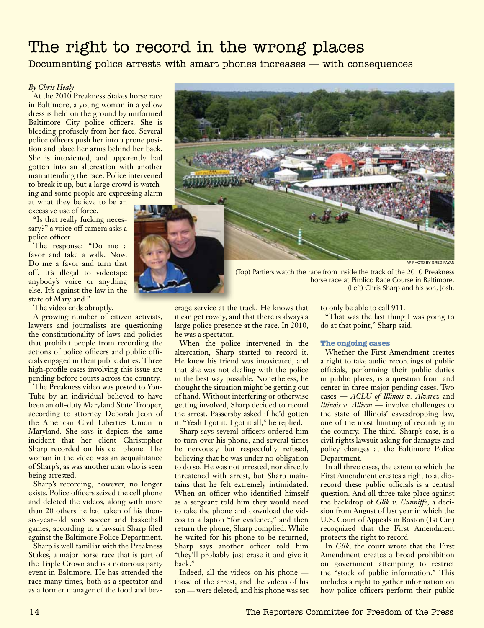# The right to record in the wrong places

Documenting police arrests with smart phones increases — with consequences

## *By Chris Healy*

At the 2010 Preakness Stakes horse race in Baltimore, a young woman in a yellow dress is held on the ground by uniformed Baltimore City police officers. She is bleeding profusely from her face. Several police officers push her into a prone position and place her arms behind her back. She is intoxicated, and apparently had gotten into an altercation with another man attending the race. Police intervened to break it up, but a large crowd is watching and some people are expressing alarm

at what they believe to be an excessive use of force.

"Is that really fucking necessary?" a voice off camera asks a police officer.

The response: "Do me a favor and take a walk. Now. Do me a favor and turn that off. It's illegal to videotape anybody's voice or anything else. It's against the law in the state of Maryland."

The video ends abruptly.

A growing number of citizen activists, lawyers and journalists are questioning the constitutionality of laws and policies that prohibit people from recording the actions of police officers and public officials engaged in their public duties. Three high-profile cases involving this issue are pending before courts across the country.

The Preakness video was posted to You-Tube by an individual believed to have been an off-duty Maryland State Trooper, according to attorney Deborah Jeon of the American Civil Liberties Union in Maryland. She says it depicts the same incident that her client Christopher Sharp recorded on his cell phone. The woman in the video was an acquaintance of Sharp's, as was another man who is seen being arrested.

Sharp's recording, however, no longer exists. Police officers seized the cell phone and deleted the videos, along with more than 20 others he had taken of his thensix-year-old son's soccer and basketball games, according to a lawsuit Sharp filed against the Baltimore Police Department.

Sharp is well familiar with the Preakness Stakes, a major horse race that is part of the Triple Crown and is a notorious party event in Baltimore. He has attended the race many times, both as a spectator and as a former manager of the food and bev-



(Top) Partiers watch the race from inside the track of the 2010 Preakness horse race at Pimlico Race Course in Baltimore. (Left) Chris Sharp and his son, Josh.

erage service at the track. He knows that it can get rowdy, and that there is always a large police presence at the race. In 2010, he was a spectator.

When the police intervened in the altercation, Sharp started to record it. He knew his friend was intoxicated, and that she was not dealing with the police in the best way possible. Nonetheless, he thought the situation might be getting out of hand. Without interfering or otherwise getting involved, Sharp decided to record the arrest. Passersby asked if he'd gotten it. "Yeah I got it. I got it all," he replied.

Sharp says several officers ordered him to turn over his phone, and several times he nervously but respectfully refused, believing that he was under no obligation to do so. He was not arrested, nor directly threatened with arrest, but Sharp maintains that he felt extremely intimidated. When an officer who identified himself as a sergeant told him they would need to take the phone and download the videos to a laptop "for evidence," and then return the phone, Sharp complied. While he waited for his phone to be returned, Sharp says another officer told him "they'll probably just erase it and give it back."

Indeed, all the videos on his phone those of the arrest, and the videos of his son — were deleted, and his phone was set to only be able to call 911.

"That was the last thing I was going to do at that point," Sharp said.

## **The ongoing cases**

Whether the First Amendment creates a right to take audio recordings of public officials, performing their public duties in public places, is a question front and center in three major pending cases. Two cases — *ACLU of Illinois v. Alvarez* and *Illinois v. Allison* — involve challenges to the state of Illinois' eavesdropping law, one of the most limiting of recording in the country. The third, Sharp's case, is a civil rights lawsuit asking for damages and policy changes at the Baltimore Police Department.

In all three cases, the extent to which the First Amendment creates a right to audiorecord these public officials is a central question. And all three take place against the backdrop of *Glik v. Cunniffe*, a decision from August of last year in which the U.S. Court of Appeals in Boston (1st Cir.) recognized that the First Amendment protects the right to record.

In *Glik*, the court wrote that the First Amendment creates a broad prohibition on government attempting to restrict the "stock of public information." This includes a right to gather information on how police officers perform their public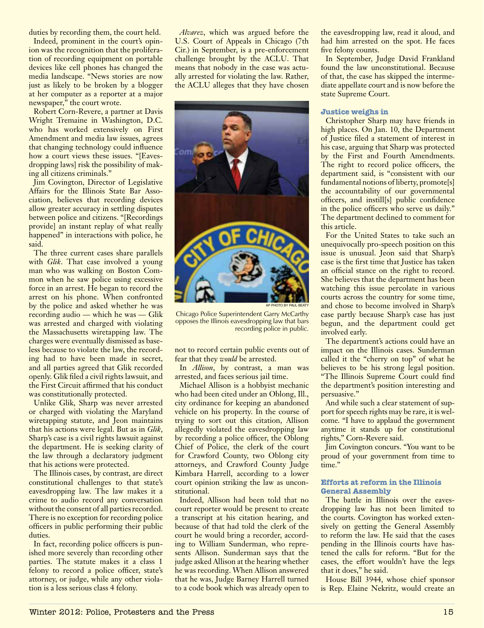duties by recording them, the court held.

Indeed, prominent in the court's opinion was the recognition that the proliferation of recording equipment on portable devices like cell phones has changed the media landscape. "News stories are now just as likely to be broken by a blogger at her computer as a reporter at a major newspaper," the court wrote.

Robert Corn-Revere, a partner at Davis Wright Tremaine in Washington, D.C. who has worked extensively on First Amendment and media law issues, agrees that changing technology could influence how a court views these issues. "[Eavesdropping laws] risk the possibility of making all citizens criminals."

Jim Covington, Director of Legislative Affairs for the Illinois State Bar Association, believes that recording devices allow greater accuracy in settling disputes between police and citizens. "[Recordings provide] an instant replay of what really happened" in interactions with police, he said.

The three current cases share parallels with *Glik*. That case involved a young man who was walking on Boston Common when he saw police using excessive force in an arrest. He began to record the arrest on his phone. When confronted by the police and asked whether he was recording audio — which he was — Glik was arrested and charged with violating the Massachusetts wiretapping law. The charges were eventually dismissed as baseless because to violate the law, the recording had to have been made in secret, and all parties agreed that Glik recorded openly. Glik filed a civil rights lawsuit, and the First Circuit affirmed that his conduct was constitutionally protected.

Unlike Glik, Sharp was never arrested or charged with violating the Maryland wiretapping statute, and Jeon maintains that his actions were legal. But as in *Glik*, Sharp's case is a civil rights lawsuit against the department. He is seeking clarity of the law through a declaratory judgment that his actions were protected.

The Illinois cases, by contrast, are direct constitutional challenges to that state's eavesdropping law. The law makes it a crime to audio record any conversation without the consent of all parties recorded. There is no exception for recording police officers in public performing their public duties.

In fact, recording police officers is punished more severely than recording other parties. The statute makes it a class 1 felony to record a police officer, state's attorney, or judge, while any other violation is a less serious class 4 felony.

*Alvarez*, which was argued before the U.S. Court of Appeals in Chicago (7th Cir.) in September, is a pre-enforcement challenge brought by the ACLU. That means that nobody in the case was actually arrested for violating the law. Rather, the ACLU alleges that they have chosen



Chicago Police Superintendent Garry McCarthy opposes the Illinois eavesdropping law that bars recording police in public.

not to record certain public events out of fear that they *would* be arrested.

In *Allison*, by contrast, a man was arrested, and faces serious jail time.

Michael Allison is a hobbyist mechanic who had been cited under an Oblong, Ill., city ordinance for keeping an abandoned vehicle on his property. In the course of trying to sort out this citation, Allison allegedly violated the eavesdropping law by recording a police officer, the Oblong Chief of Police, the clerk of the court for Crawford County, two Oblong city attorneys, and Crawford County Judge Kimbara Harrell, according to a lower court opinion striking the law as unconstitutional.

Indeed, Allison had been told that no court reporter would be present to create a transcript at his citation hearing, and because of that had told the clerk of the court he would bring a recorder, according to William Sunderman, who represents Allison. Sunderman says that the judge asked Allison at the hearing whether he was recording. When Allison answered that he was, Judge Barney Harrell turned to a code book which was already open to the eavesdropping law, read it aloud, and had him arrested on the spot. He faces five felony counts.

In September, Judge David Frankland found the law unconstitutional. Because of that, the case has skipped the intermediate appellate court and is now before the state Supreme Court.

## **Justice weighs in**

Christopher Sharp may have friends in high places. On Jan. 10, the Department of Justice filed a statement of interest in his case, arguing that Sharp was protected by the First and Fourth Amendments. The right to record police officers, the department said, is "consistent with our fundamental notions of liberty, promote[s] the accountability of our governmental officers, and instill[s] public confidence in the police officers who serve us daily." The department declined to comment for this article.

For the United States to take such an unequivocally pro-speech position on this issue is unusual. Jeon said that Sharp's case is the first time that Justice has taken an official stance on the right to record. She believes that the department has been watching this issue percolate in various courts across the country for some time, and chose to become involved in Sharp's case partly because Sharp's case has just begun, and the department could get involved early.

The department's actions could have an impact on the Illinois cases. Sunderman called it the "cherry on top" of what he believes to be his strong legal position. "The Illinois Supreme Court could find the department's position interesting and persuasive."

And while such a clear statement of support for speech rights may be rare, it is welcome. "I have to applaud the government anytime it stands up for constitutional rights," Corn-Revere said.

Jim Covington concurs. "You want to be proud of your government from time to time."

## **Efforts at reform in the Illinois General Assembly**

The battle in Illinois over the eavesdropping law has not been limited to the courts. Covington has worked extensively on getting the General Assembly to reform the law. He said that the cases pending in the Illinois courts have hastened the calls for reform. "But for the cases, the effort wouldn't have the legs that it does," he said.

House Bill 3944, whose chief sponsor is Rep. Elaine Nekritz, would create an